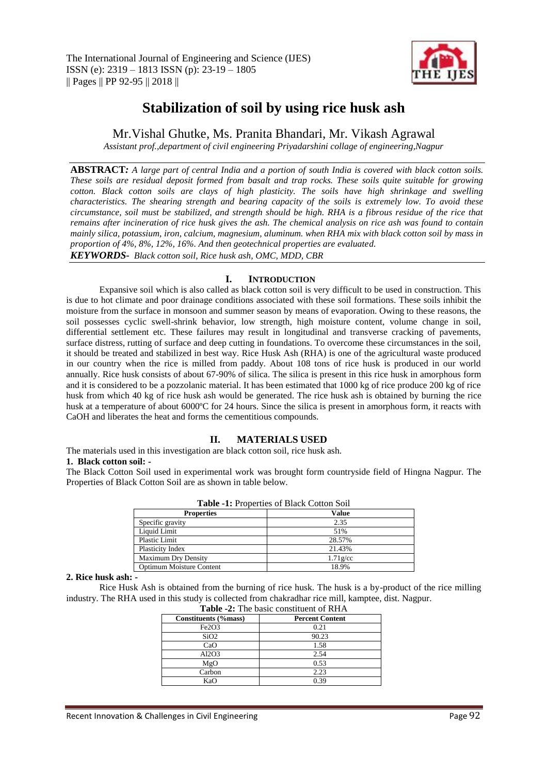

# **Stabilization of soil by using rice husk ash**

Mr.Vishal Ghutke, Ms. Pranita Bhandari, Mr. Vikash Agrawal

*Assistant prof.,department of civil engineering Priyadarshini collage of engineering,Nagpur*

**ABSTRACT***: A large part of central India and a portion of south India is covered with black cotton soils. These soils are residual deposit formed from basalt and trap rocks. These soils quite suitable for growing cotton. Black cotton soils are clays of high plasticity. The soils have high shrinkage and swelling characteristics. The shearing strength and bearing capacity of the soils is extremely low. To avoid these circumstance, soil must be stabilized, and strength should be high. RHA is a fibrous residue of the rice that remains after incineration of rice husk gives the ash. The chemical analysis on rice ash was found to contain mainly silica, potassium, iron, calcium, magnesium, aluminum. when RHA mix with black cotton soil by mass in proportion of 4%, 8%, 12%, 16%. And then geotechnical properties are evaluated. KEYWORDS- Black cotton soil, Rice husk ash, OMC, MDD, CBR*

#### **I. INTRODUCTION**

Expansive soil which is also called as black cotton soil is very difficult to be used in construction. This is due to hot climate and poor drainage conditions associated with these soil formations. These soils inhibit the moisture from the surface in monsoon and summer season by means of evaporation. Owing to these reasons, the soil possesses cyclic swell-shrink behavior, low strength, high moisture content, volume change in soil, differential settlement etc. These failures may result in longitudinal and transverse cracking of pavements, surface distress, rutting of surface and deep cutting in foundations. To overcome these circumstances in the soil, it should be treated and stabilized in best way. Rice Husk Ash (RHA) is one of the agricultural waste produced in our country when the rice is milled from paddy. About 108 tons of rice husk is produced in our world annually. Rice husk consists of about 67-90% of silica. The silica is present in this rice husk in amorphous form and it is considered to be a pozzolanic material. It has been estimated that 1000 kg of rice produce 200 kg of rice husk from which 40 kg of rice husk ash would be generated. The rice husk ash is obtained by burning the rice husk at a temperature of about 6000°C for 24 hours. Since the silica is present in amorphous form, it reacts with CaOH and liberates the heat and forms the cementitious compounds.

### **II. MATERIALS USED**

The materials used in this investigation are black cotton soil, rice husk ash. **1. Black cotton soil: -**

#### The Black Cotton Soil used in experimental work was brought form countryside field of Hingna Nagpur. The Properties of Black Cotton Soil are as shown in table below.

| Tuble Tri Poperties of Drack Conton Bon |             |  |
|-----------------------------------------|-------------|--|
| <b>Properties</b>                       | Value       |  |
| Specific gravity                        | 2.35        |  |
| Liquid Limit                            | 51%         |  |
| <b>Plastic Limit</b>                    | 28.57%      |  |
| Plasticity Index                        | 21.43%      |  |
| <b>Maximum Dry Density</b>              | $1.71$ g/cc |  |
| <b>Optimum Moisture Content</b>         | 18.9%       |  |

| Table -1: Properties of Black Cotton Soil |  |
|-------------------------------------------|--|
|-------------------------------------------|--|

#### **2. Rice husk ash: -**

Rice Husk Ash is obtained from the burning of rice husk. The husk is a by-product of the rice milling industry. The RHA used in this study is collected from chakradhar rice mill, kamptee, dist. Nagpur. **Table 2:** The basic constituents

| <b>Table -2:</b> The basic constituent of RHA |                        |  |
|-----------------------------------------------|------------------------|--|
| Constituents (%mass)                          | <b>Percent Content</b> |  |
| Fe2O3                                         | 0.21                   |  |
| SiO2                                          | 90.23                  |  |
| CaO                                           | 1.58                   |  |
| Al2O3                                         | 2.54                   |  |
| MgO                                           | 0.53                   |  |
| Carbon                                        | 2.23                   |  |
| KaO                                           | 0.39                   |  |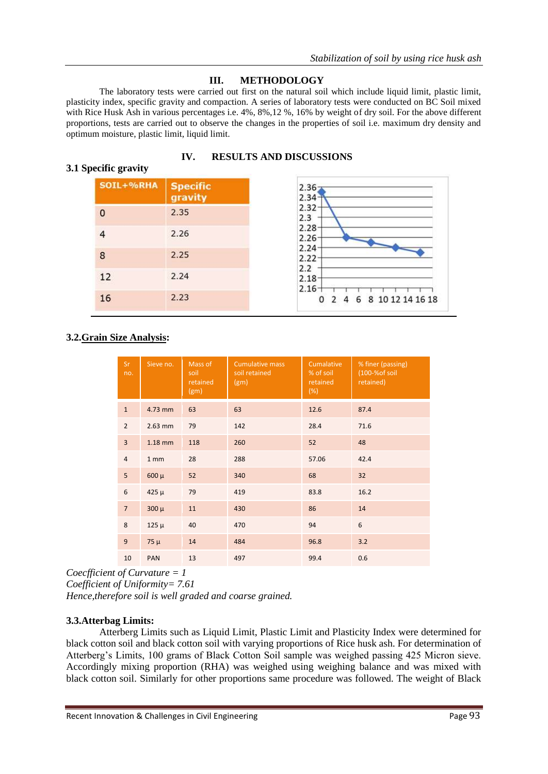# **III. METHODOLOGY**

The laboratory tests were carried out first on the natural soil which include liquid limit, plastic limit, plasticity index, specific gravity and compaction. A series of laboratory tests were conducted on BC Soil mixed with Rice Husk Ash in various percentages i.e.  $4\%, 8\%, 12\%, 16\%$  by weight of dry soil. For the above different proportions, tests are carried out to observe the changes in the properties of soil i.e. maximum dry density and optimum moisture, plastic limit, liquid limit.

## **IV. RESULTS AND DISCUSSIONS**

## **3.1 Specific gravity**

| SOIL+%RHA | <b>Specific</b><br>gravity |
|-----------|----------------------------|
| 0         | 2.35                       |
| 4         | 2.26                       |
| 8         | 2.25                       |
| 12        | 2.24                       |
| 16        | 2.23                       |



# **3.2.Grain Size Analysis:**

| Sr<br>no.      | Sieve no.  | Mass of<br>soil<br>retained<br>(gm) | <b>Cumulative mass</b><br>soil retained<br>(g <sub>m</sub> ) | Cumalative<br>% of soil<br>retained<br>(%) | % finer (passing)<br>(100-% of soil<br>retained) |
|----------------|------------|-------------------------------------|--------------------------------------------------------------|--------------------------------------------|--------------------------------------------------|
| $\mathbf{1}$   | 4.73 mm    | 63                                  | 63                                                           | 12.6                                       | 87.4                                             |
| $\overline{2}$ | $2.63$ mm  | 79                                  | 142                                                          | 28.4                                       | 71.6                                             |
| $\overline{3}$ | $1.18$ mm  | 118                                 | 260                                                          | 52                                         | 48                                               |
| $\overline{4}$ | 1 mm       | 28                                  | 288                                                          | 57.06                                      | 42.4                                             |
| 5              | $600 \mu$  | 52                                  | 340                                                          | 68                                         | 32                                               |
| 6              | $425 \mu$  | 79                                  | 419                                                          | 83.8                                       | 16.2                                             |
| $\overline{7}$ | $300 \mu$  | 11                                  | 430                                                          | 86                                         | 14                                               |
| 8              | $125 \mu$  | 40                                  | 470                                                          | 94                                         | 6                                                |
| 9              | $75 \mu$   | 14                                  | 484                                                          | 96.8                                       | 3.2                                              |
| 10             | <b>PAN</b> | 13                                  | 497                                                          | 99.4                                       | 0.6                                              |

*Coecfficient of Curvature = 1 Coefficient of Uniformity= 7.61 Hence,therefore soil is well graded and coarse grained.*

### **3.3.Atterbag Limits:**

Atterberg Limits such as Liquid Limit, Plastic Limit and Plasticity Index were determined for black cotton soil and black cotton soil with varying proportions of Rice husk ash. For determination of Atterberg's Limits, 100 grams of Black Cotton Soil sample was weighed passing 425 Micron sieve. Accordingly mixing proportion (RHA) was weighed using weighing balance and was mixed with black cotton soil. Similarly for other proportions same procedure was followed. The weight of Black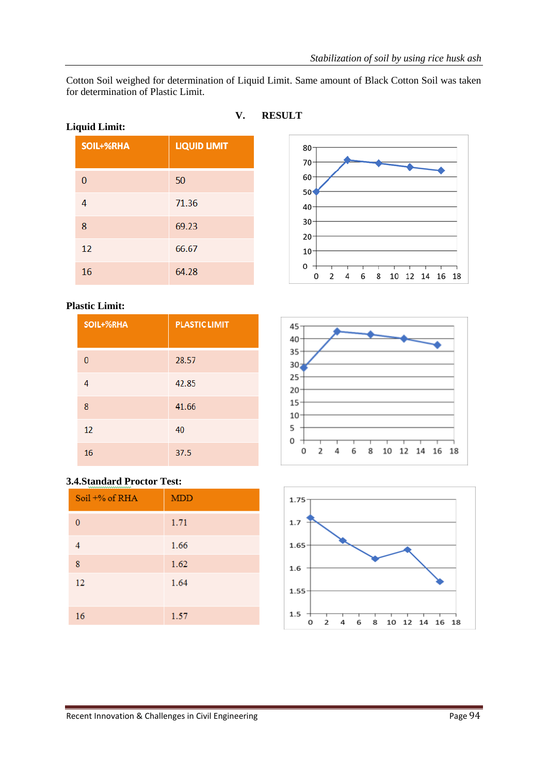Cotton Soil weighed for determination of Liquid Limit. Same amount of Black Cotton Soil was taken for determination of Plastic Limit.

| nquiu miinio |           |                     |  |  |
|--------------|-----------|---------------------|--|--|
|              | SOIL+%RHA | <b>LIQUID LIMIT</b> |  |  |
|              | 0         | 50                  |  |  |
|              | 4         | 71.36               |  |  |
|              | 8         | 69.23               |  |  |
|              | 12        | 66.67               |  |  |
|              | 16        | 64.28               |  |  |

# **Liquid Limit:**

## **Plastic Limit:**

| SOIL+%RHA | <b>PLASTIC LIMIT</b> |
|-----------|----------------------|
| n         | 28.57                |
| 4         | 42.85                |
| 8         | 41.66                |
| 12        | 40                   |
| 16        | 37.5                 |

## **3.4.Standard Proctor Test:**

| .<br>Soil $+$ % of RHA | <b>MDD</b> |
|------------------------|------------|
| n                      | 1.71       |
| $\overline{4}$         | 1.66       |
| 8                      | 1.62       |
| 12                     | 1.64       |
| 16                     | 1.57       |







# **V. RESULT**